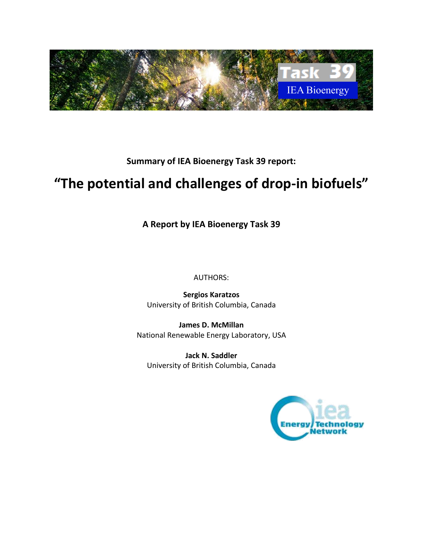

**Summary of IEA Bioenergy Task 39 report:**

# **"The potential and challenges of drop-in biofuels"**

**A Report by IEA Bioenergy Task 39**

AUTHORS:

**Sergios Karatzos** University of British Columbia, Canada

**James D. McMillan** National Renewable Energy Laboratory, USA

**Jack N. Saddler** University of British Columbia, Canada

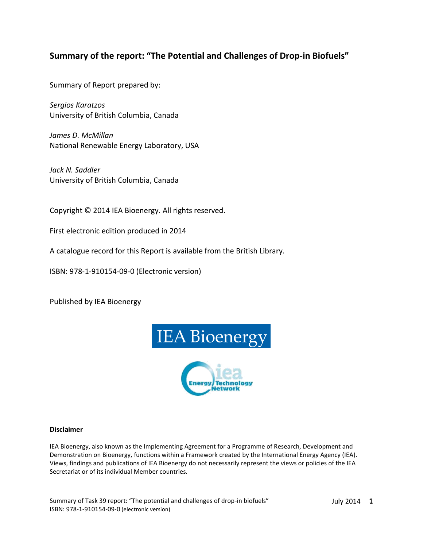# **Summary of the report: "The Potential and Challenges of Drop-in Biofuels"**

Summary of Report prepared by:

*Sergios Karatzos*  University of British Columbia, Canada

*James D. McMillan*  National Renewable Energy Laboratory, USA

*Jack N. Saddler* University of British Columbia, Canada

Copyright © 2014 IEA Bioenergy. All rights reserved.

First electronic edition produced in 2014

A catalogue record for this Report is available from the British Library.

ISBN: 978-1-910154-09-0 (Electronic version)

Published by IEA Bioenergy



#### **Disclaimer**

IEA Bioenergy, also known as the Implementing Agreement for a Programme of Research, Development and Demonstration on Bioenergy, functions within a Framework created by the International Energy Agency (IEA). Views, findings and publications of IEA Bioenergy do not necessarily represent the views or policies of the IEA Secretariat or of its individual Member countries.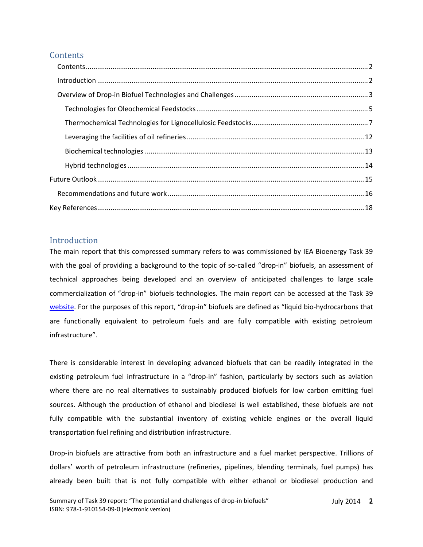# <span id="page-2-0"></span>**Contents**

# <span id="page-2-1"></span>Introduction

The main report that this compressed summary refers to was commissioned by IEA Bioenergy Task 39 with the goal of providing a background to the topic of so-called "drop-in" biofuels, an assessment of technical approaches being developed and an overview of anticipated challenges to large scale commercialization of "drop-in" biofuels technologies. The main report can be accessed at the Task 39 [website.](http://www.task39.org/) For the purposes of this report, "drop-in" biofuels are defined as "liquid bio-hydrocarbons that are functionally equivalent to petroleum fuels and are fully compatible with existing petroleum infrastructure".

There is considerable interest in developing advanced biofuels that can be readily integrated in the existing petroleum fuel infrastructure in a "drop-in" fashion, particularly by sectors such as aviation where there are no real alternatives to sustainably produced biofuels for low carbon emitting fuel sources. Although the production of ethanol and biodiesel is well established, these biofuels are not fully compatible with the substantial inventory of existing vehicle engines or the overall liquid transportation fuel refining and distribution infrastructure.

Drop-in biofuels are attractive from both an infrastructure and a fuel market perspective. Trillions of dollars' worth of petroleum infrastructure (refineries, pipelines, blending terminals, fuel pumps) has already been built that is not fully compatible with either ethanol or biodiesel production and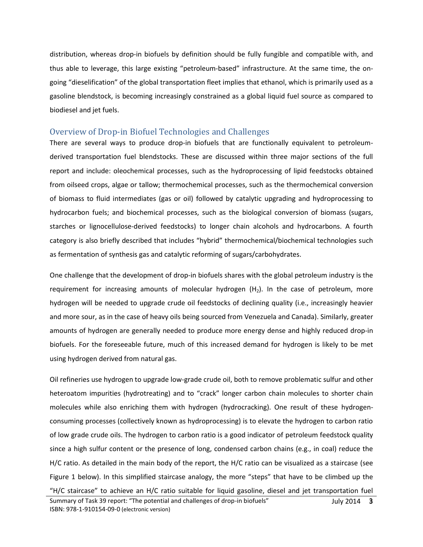distribution, whereas drop-in biofuels by definition should be fully fungible and compatible with, and thus able to leverage, this large existing "petroleum-based" infrastructure. At the same time, the ongoing "dieselification" of the global transportation fleet implies that ethanol, which is primarily used as a gasoline blendstock, is becoming increasingly constrained as a global liquid fuel source as compared to biodiesel and jet fuels.

# <span id="page-3-0"></span>Overview of Drop-in Biofuel Technologies and Challenges

There are several ways to produce drop-in biofuels that are functionally equivalent to petroleumderived transportation fuel blendstocks. These are discussed within three major sections of the full report and include: oleochemical processes, such as the hydroprocessing of lipid feedstocks obtained from oilseed crops, algae or tallow; thermochemical processes, such as the thermochemical conversion of biomass to fluid intermediates (gas or oil) followed by catalytic upgrading and hydroprocessing to hydrocarbon fuels; and biochemical processes, such as the biological conversion of biomass (sugars, starches or lignocellulose-derived feedstocks) to longer chain alcohols and hydrocarbons. A fourth category is also briefly described that includes "hybrid" thermochemical/biochemical technologies such as fermentation of synthesis gas and catalytic reforming of sugars/carbohydrates.

One challenge that the development of drop-in biofuels shares with the global petroleum industry is the requirement for increasing amounts of molecular hydrogen  $(H_2)$ . In the case of petroleum, more hydrogen will be needed to upgrade crude oil feedstocks of declining quality (i.e., increasingly heavier and more sour, as in the case of heavy oils being sourced from Venezuela and Canada). Similarly, greater amounts of hydrogen are generally needed to produce more energy dense and highly reduced drop-in biofuels. For the foreseeable future, much of this increased demand for hydrogen is likely to be met using hydrogen derived from natural gas.

Oil refineries use hydrogen to upgrade low-grade crude oil, both to remove problematic sulfur and other heteroatom impurities (hydrotreating) and to "crack" longer carbon chain molecules to shorter chain molecules while also enriching them with hydrogen (hydrocracking). One result of these hydrogenconsuming processes (collectively known as hydroprocessing) is to elevate the hydrogen to carbon ratio of low grade crude oils. The hydrogen to carbon ratio is a good indicator of petroleum feedstock quality since a high sulfur content or the presence of long, condensed carbon chains (e.g., in coal) reduce the H/C ratio. As detailed in the main body of the report, the H/C ratio can be visualized as a staircase (see Figure 1 below). In this simplified staircase analogy, the more "steps" that have to be climbed up the "H/C staircase" to achieve an H/C ratio suitable for liquid gasoline, diesel and jet transportation fuel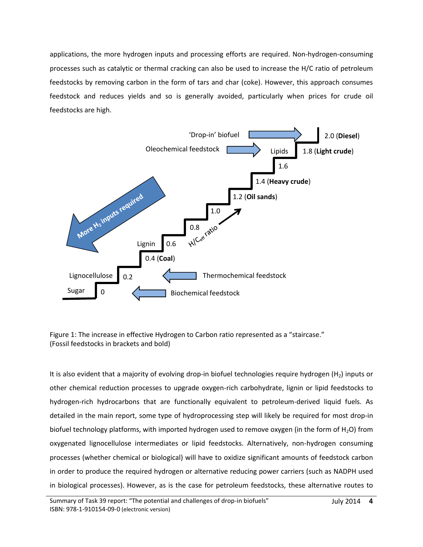applications, the more hydrogen inputs and processing efforts are required. Non-hydrogen-consuming processes such as catalytic or thermal cracking can also be used to increase the H/C ratio of petroleum feedstocks by removing carbon in the form of tars and char (coke). However, this approach consumes feedstock and reduces yields and so is generally avoided, particularly when prices for crude oil feedstocks are high.



Figure 1: The increase in effective Hydrogen to Carbon ratio represented as a "staircase." (Fossil feedstocks in brackets and bold)

It is also evident that a majority of evolving drop-in biofuel technologies require hydrogen (H<sub>2</sub>) inputs or other chemical reduction processes to upgrade oxygen-rich carbohydrate, lignin or lipid feedstocks to hydrogen-rich hydrocarbons that are functionally equivalent to petroleum-derived liquid fuels. As detailed in the main report, some type of hydroprocessing step will likely be required for most drop-in biofuel technology platforms, with imported hydrogen used to remove oxygen (in the form of  $H_2O$ ) from oxygenated lignocellulose intermediates or lipid feedstocks. Alternatively, non-hydrogen consuming processes (whether chemical or biological) will have to oxidize significant amounts of feedstock carbon in order to produce the required hydrogen or alternative reducing power carriers (such as NADPH used in biological processes). However, as is the case for petroleum feedstocks, these alternative routes to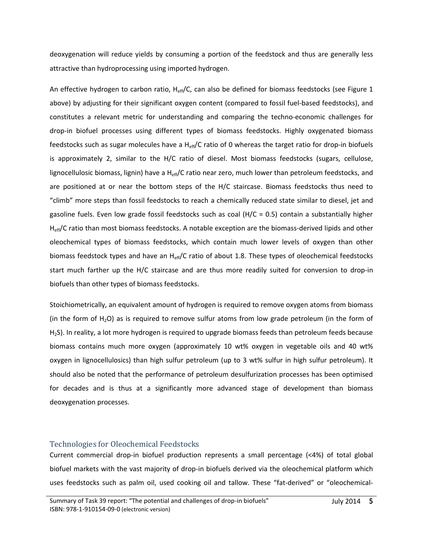deoxygenation will reduce yields by consuming a portion of the feedstock and thus are generally less attractive than hydroprocessing using imported hydrogen.

An effective hydrogen to carbon ratio,  $H_{eff}/C$ , can also be defined for biomass feedstocks (see Figure 1 above) by adjusting for their significant oxygen content (compared to fossil fuel-based feedstocks), and constitutes a relevant metric for understanding and comparing the techno-economic challenges for drop-in biofuel processes using different types of biomass feedstocks. Highly oxygenated biomass feedstocks such as sugar molecules have a  $H_{eff}/C$  ratio of 0 whereas the target ratio for drop-in biofuels is approximately 2, similar to the H/C ratio of diesel. Most biomass feedstocks (sugars, cellulose, lignocellulosic biomass, lignin) have a  $H_{eff}/C$  ratio near zero, much lower than petroleum feedstocks, and are positioned at or near the bottom steps of the H/C staircase. Biomass feedstocks thus need to "climb" more steps than fossil feedstocks to reach a chemically reduced state similar to diesel, jet and gasoline fuels. Even low grade fossil feedstocks such as coal  $(H/C = 0.5)$  contain a substantially higher H<sub>eff</sub>/C ratio than most biomass feedstocks. A notable exception are the biomass-derived lipids and other oleochemical types of biomass feedstocks, which contain much lower levels of oxygen than other biomass feedstock types and have an  $H_{eff}/C$  ratio of about 1.8. These types of oleochemical feedstocks start much farther up the H/C staircase and are thus more readily suited for conversion to drop-in biofuels than other types of biomass feedstocks.

Stoichiometrically, an equivalent amount of hydrogen is required to remove oxygen atoms from biomass (in the form of  $H_2O$ ) as is required to remove sulfur atoms from low grade petroleum (in the form of H2S). In reality, a lot more hydrogen is required to upgrade biomass feeds than petroleum feeds because biomass contains much more oxygen (approximately 10 wt% oxygen in vegetable oils and 40 wt% oxygen in lignocellulosics) than high sulfur petroleum (up to 3 wt% sulfur in high sulfur petroleum). It should also be noted that the performance of petroleum desulfurization processes has been optimised for decades and is thus at a significantly more advanced stage of development than biomass deoxygenation processes.

# <span id="page-5-0"></span>Technologies for Oleochemical Feedstocks

Current commercial drop-in biofuel production represents a small percentage (<4%) of total global biofuel markets with the vast majority of drop-in biofuels derived via the oleochemical platform which uses feedstocks such as palm oil, used cooking oil and tallow. These "fat-derived" or "oleochemical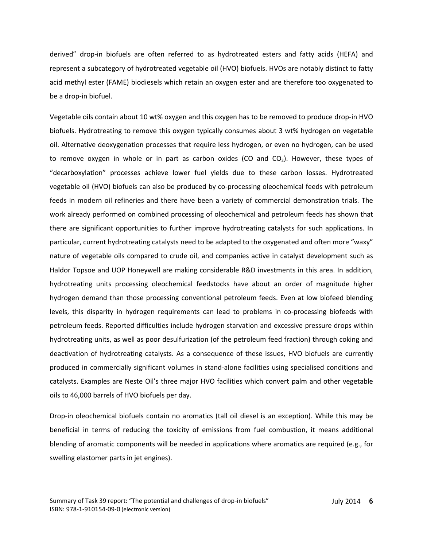derived" drop-in biofuels are often referred to as hydrotreated esters and fatty acids (HEFA) and represent a subcategory of hydrotreated vegetable oil (HVO) biofuels. HVOs are notably distinct to fatty acid methyl ester (FAME) biodiesels which retain an oxygen ester and are therefore too oxygenated to be a drop-in biofuel.

Vegetable oils contain about 10 wt% oxygen and this oxygen has to be removed to produce drop-in HVO biofuels. Hydrotreating to remove this oxygen typically consumes about 3 wt% hydrogen on vegetable oil. Alternative deoxygenation processes that require less hydrogen, or even no hydrogen, can be used to remove oxygen in whole or in part as carbon oxides (CO and  $CO<sub>2</sub>$ ). However, these types of "decarboxylation" processes achieve lower fuel yields due to these carbon losses. Hydrotreated vegetable oil (HVO) biofuels can also be produced by co-processing oleochemical feeds with petroleum feeds in modern oil refineries and there have been a variety of commercial demonstration trials. The work already performed on combined processing of oleochemical and petroleum feeds has shown that there are significant opportunities to further improve hydrotreating catalysts for such applications. In particular, current hydrotreating catalysts need to be adapted to the oxygenated and often more "waxy" nature of vegetable oils compared to crude oil, and companies active in catalyst development such as Haldor Topsoe and UOP Honeywell are making considerable R&D investments in this area. In addition, hydrotreating units processing oleochemical feedstocks have about an order of magnitude higher hydrogen demand than those processing conventional petroleum feeds. Even at low biofeed blending levels, this disparity in hydrogen requirements can lead to problems in co-processing biofeeds with petroleum feeds. Reported difficulties include hydrogen starvation and excessive pressure drops within hydrotreating units, as well as poor desulfurization (of the petroleum feed fraction) through coking and deactivation of hydrotreating catalysts. As a consequence of these issues, HVO biofuels are currently produced in commercially significant volumes in stand-alone facilities using specialised conditions and catalysts. Examples are Neste Oil's three major HVO facilities which convert palm and other vegetable oils to 46,000 barrels of HVO biofuels per day.

Drop-in oleochemical biofuels contain no aromatics (tall oil diesel is an exception). While this may be beneficial in terms of reducing the toxicity of emissions from fuel combustion, it means additional blending of aromatic components will be needed in applications where aromatics are required (e.g., for swelling elastomer parts in jet engines).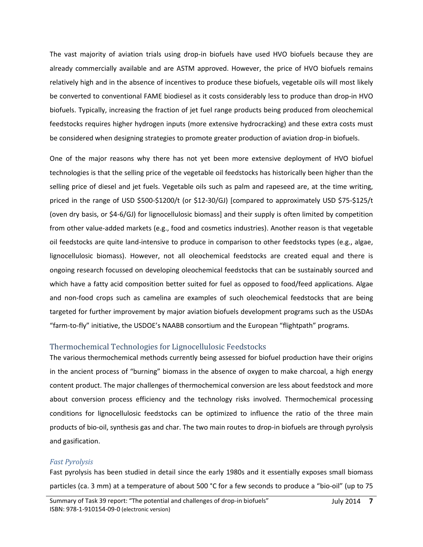The vast majority of aviation trials using drop-in biofuels have used HVO biofuels because they are already commercially available and are ASTM approved. However, the price of HVO biofuels remains relatively high and in the absence of incentives to produce these biofuels, vegetable oils will most likely be converted to conventional FAME biodiesel as it costs considerably less to produce than drop-in HVO biofuels. Typically, increasing the fraction of jet fuel range products being produced from oleochemical feedstocks requires higher hydrogen inputs (more extensive hydrocracking) and these extra costs must be considered when designing strategies to promote greater production of aviation drop-in biofuels.

One of the major reasons why there has not yet been more extensive deployment of HVO biofuel technologies is that the selling price of the vegetable oil feedstocks has historically been higher than the selling price of diesel and jet fuels. Vegetable oils such as palm and rapeseed are, at the time writing, priced in the range of USD \$500-\$1200/t (or \$12-30/GJ) [compared to approximately USD \$75-\$125/t (oven dry basis, or \$4-6/GJ) for lignocellulosic biomass] and their supply is often limited by competition from other value-added markets (e.g., food and cosmetics industries). Another reason is that vegetable oil feedstocks are quite land-intensive to produce in comparison to other feedstocks types (e.g., algae, lignocellulosic biomass). However, not all oleochemical feedstocks are created equal and there is ongoing research focussed on developing oleochemical feedstocks that can be sustainably sourced and which have a fatty acid composition better suited for fuel as opposed to food/feed applications. Algae and non-food crops such as camelina are examples of such oleochemical feedstocks that are being targeted for further improvement by major aviation biofuels development programs such as the USDAs "farm-to-fly" initiative, the USDOE's NAABB consortium and the European "flightpath" programs.

# <span id="page-7-0"></span>Thermochemical Technologies for Lignocellulosic Feedstocks

The various thermochemical methods currently being assessed for biofuel production have their origins in the ancient process of "burning" biomass in the absence of oxygen to make charcoal, a high energy content product. The major challenges of thermochemical conversion are less about feedstock and more about conversion process efficiency and the technology risks involved. Thermochemical processing conditions for lignocellulosic feedstocks can be optimized to influence the ratio of the three main products of bio-oil, synthesis gas and char. The two main routes to drop-in biofuels are through pyrolysis and gasification.

# *Fast Pyrolysis*

Fast pyrolysis has been studied in detail since the early 1980s and it essentially exposes small biomass particles (ca. 3 mm) at a temperature of about 500 °C for a few seconds to produce a "bio-oil" (up to 75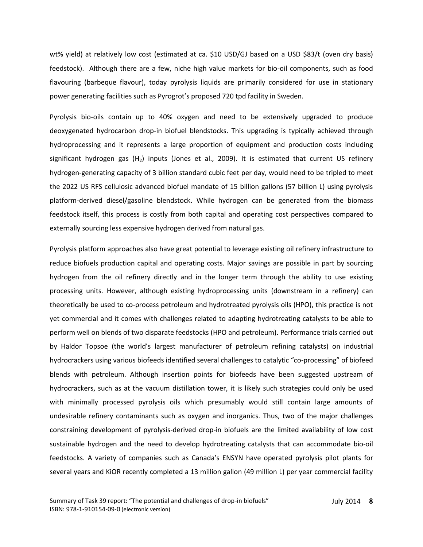wt% yield) at relatively low cost (estimated at ca. \$10 USD/GJ based on a USD \$83/t (oven dry basis) feedstock). Although there are a few, niche high value markets for bio-oil components, such as food flavouring (barbeque flavour), today pyrolysis liquids are primarily considered for use in stationary power generating facilities such as Pyrogrot's proposed 720 tpd facility in Sweden.

Pyrolysis bio-oils contain up to 40% oxygen and need to be extensively upgraded to produce deoxygenated hydrocarbon drop-in biofuel blendstocks. This upgrading is typically achieved through hydroprocessing and it represents a large proportion of equipment and production costs including significant hydrogen gas  $(H_2)$  inputs (Jones et al., 2009). It is estimated that current US refinery hydrogen-generating capacity of 3 billion standard cubic feet per day, would need to be tripled to meet the 2022 US RFS cellulosic advanced biofuel mandate of 15 billion gallons (57 billion L) using pyrolysis platform-derived diesel/gasoline blendstock. While hydrogen can be generated from the biomass feedstock itself, this process is costly from both capital and operating cost perspectives compared to externally sourcing less expensive hydrogen derived from natural gas.

Pyrolysis platform approaches also have great potential to leverage existing oil refinery infrastructure to reduce biofuels production capital and operating costs. Major savings are possible in part by sourcing hydrogen from the oil refinery directly and in the longer term through the ability to use existing processing units. However, although existing hydroprocessing units (downstream in a refinery) can theoretically be used to co-process petroleum and hydrotreated pyrolysis oils (HPO), this practice is not yet commercial and it comes with challenges related to adapting hydrotreating catalysts to be able to perform well on blends of two disparate feedstocks (HPO and petroleum). Performance trials carried out by Haldor Topsoe (the world's largest manufacturer of petroleum refining catalysts) on industrial hydrocrackers using various biofeeds identified several challenges to catalytic "co-processing" of biofeed blends with petroleum. Although insertion points for biofeeds have been suggested upstream of hydrocrackers, such as at the vacuum distillation tower, it is likely such strategies could only be used with minimally processed pyrolysis oils which presumably would still contain large amounts of undesirable refinery contaminants such as oxygen and inorganics. Thus, two of the major challenges constraining development of pyrolysis-derived drop-in biofuels are the limited availability of low cost sustainable hydrogen and the need to develop hydrotreating catalysts that can accommodate bio-oil feedstocks. A variety of companies such as Canada's ENSYN have operated pyrolysis pilot plants for several years and KiOR recently completed a 13 million gallon (49 million L) per year commercial facility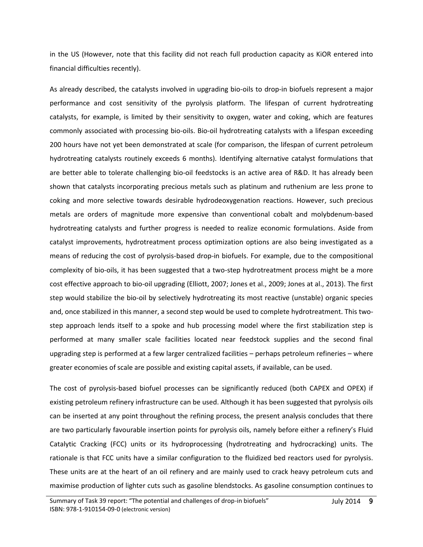in the US (However, note that this facility did not reach full production capacity as KiOR entered into financial difficulties recently).

As already described, the catalysts involved in upgrading bio-oils to drop-in biofuels represent a major performance and cost sensitivity of the pyrolysis platform. The lifespan of current hydrotreating catalysts, for example, is limited by their sensitivity to oxygen, water and coking, which are features commonly associated with processing bio-oils. Bio-oil hydrotreating catalysts with a lifespan exceeding 200 hours have not yet been demonstrated at scale (for comparison, the lifespan of current petroleum hydrotreating catalysts routinely exceeds 6 months). Identifying alternative catalyst formulations that are better able to tolerate challenging bio-oil feedstocks is an active area of R&D. It has already been shown that catalysts incorporating precious metals such as platinum and ruthenium are less prone to coking and more selective towards desirable hydrodeoxygenation reactions. However, such precious metals are orders of magnitude more expensive than conventional cobalt and molybdenum-based hydrotreating catalysts and further progress is needed to realize economic formulations. Aside from catalyst improvements, hydrotreatment process optimization options are also being investigated as a means of reducing the cost of pyrolysis-based drop-in biofuels. For example, due to the compositional complexity of bio-oils, it has been suggested that a two-step hydrotreatment process might be a more cost effective approach to bio-oil upgrading (Elliott, 2007; Jones et al., 2009; Jones at al., 2013). The first step would stabilize the bio-oil by selectively hydrotreating its most reactive (unstable) organic species and, once stabilized in this manner, a second step would be used to complete hydrotreatment. This twostep approach lends itself to a spoke and hub processing model where the first stabilization step is performed at many smaller scale facilities located near feedstock supplies and the second final upgrading step is performed at a few larger centralized facilities – perhaps petroleum refineries – where greater economies of scale are possible and existing capital assets, if available, can be used.

The cost of pyrolysis-based biofuel processes can be significantly reduced (both CAPEX and OPEX) if existing petroleum refinery infrastructure can be used. Although it has been suggested that pyrolysis oils can be inserted at any point throughout the refining process, the present analysis concludes that there are two particularly favourable insertion points for pyrolysis oils, namely before either a refinery's Fluid Catalytic Cracking (FCC) units or its hydroprocessing (hydrotreating and hydrocracking) units. The rationale is that FCC units have a similar configuration to the fluidized bed reactors used for pyrolysis. These units are at the heart of an oil refinery and are mainly used to crack heavy petroleum cuts and maximise production of lighter cuts such as gasoline blendstocks. As gasoline consumption continues to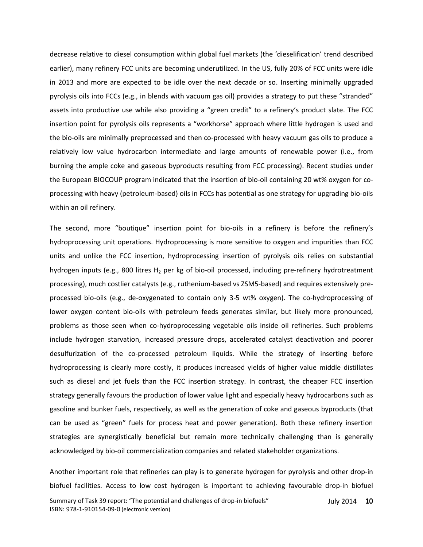decrease relative to diesel consumption within global fuel markets (the 'dieselification' trend described earlier), many refinery FCC units are becoming underutilized. In the US, fully 20% of FCC units were idle in 2013 and more are expected to be idle over the next decade or so. Inserting minimally upgraded pyrolysis oils into FCCs (e.g., in blends with vacuum gas oil) provides a strategy to put these "stranded" assets into productive use while also providing a "green credit" to a refinery's product slate. The FCC insertion point for pyrolysis oils represents a "workhorse" approach where little hydrogen is used and the bio-oils are minimally preprocessed and then co-processed with heavy vacuum gas oils to produce a relatively low value hydrocarbon intermediate and large amounts of renewable power (i.e., from burning the ample coke and gaseous byproducts resulting from FCC processing). Recent studies under the European BIOCOUP program indicated that the insertion of bio-oil containing 20 wt% oxygen for coprocessing with heavy (petroleum-based) oils in FCCs has potential as one strategy for upgrading bio-oils within an oil refinery.

The second, more "boutique" insertion point for bio-oils in a refinery is before the refinery's hydroprocessing unit operations. Hydroprocessing is more sensitive to oxygen and impurities than FCC units and unlike the FCC insertion, hydroprocessing insertion of pyrolysis oils relies on substantial hydrogen inputs (e.g., 800 litres  $H_2$  per kg of bio-oil processed, including pre-refinery hydrotreatment processing), much costlier catalysts (e.g., ruthenium-based vs ZSM5-based) and requires extensively preprocessed bio-oils (e.g., de-oxygenated to contain only 3-5 wt% oxygen). The co-hydroprocessing of lower oxygen content bio-oils with petroleum feeds generates similar, but likely more pronounced, problems as those seen when co-hydroprocessing vegetable oils inside oil refineries. Such problems include hydrogen starvation, increased pressure drops, accelerated catalyst deactivation and poorer desulfurization of the co-processed petroleum liquids. While the strategy of inserting before hydroprocessing is clearly more costly, it produces increased yields of higher value middle distillates such as diesel and jet fuels than the FCC insertion strategy. In contrast, the cheaper FCC insertion strategy generally favours the production of lower value light and especially heavy hydrocarbons such as gasoline and bunker fuels, respectively, as well as the generation of coke and gaseous byproducts (that can be used as "green" fuels for process heat and power generation). Both these refinery insertion strategies are synergistically beneficial but remain more technically challenging than is generally acknowledged by bio-oil commercialization companies and related stakeholder organizations.

Another important role that refineries can play is to generate hydrogen for pyrolysis and other drop-in biofuel facilities. Access to low cost hydrogen is important to achieving favourable drop-in biofuel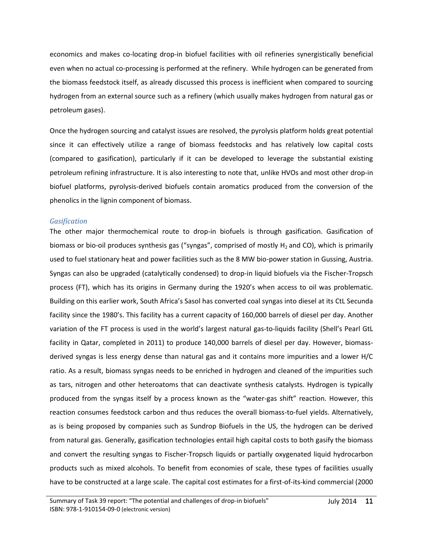economics and makes co-locating drop-in biofuel facilities with oil refineries synergistically beneficial even when no actual co-processing is performed at the refinery. While hydrogen can be generated from the biomass feedstock itself, as already discussed this process is inefficient when compared to sourcing hydrogen from an external source such as a refinery (which usually makes hydrogen from natural gas or petroleum gases).

Once the hydrogen sourcing and catalyst issues are resolved, the pyrolysis platform holds great potential since it can effectively utilize a range of biomass feedstocks and has relatively low capital costs (compared to gasification), particularly if it can be developed to leverage the substantial existing petroleum refining infrastructure. It is also interesting to note that, unlike HVOs and most other drop-in biofuel platforms, pyrolysis-derived biofuels contain aromatics produced from the conversion of the phenolics in the lignin component of biomass.

#### *Gasification*

The other major thermochemical route to drop-in biofuels is through gasification. Gasification of biomass or bio-oil produces synthesis gas ("syngas", comprised of mostly  $H_2$  and CO), which is primarily used to fuel stationary heat and power facilities such as the 8 MW bio-power station in Gussing, Austria. Syngas can also be upgraded (catalytically condensed) to drop-in liquid biofuels via the Fischer-Tropsch process (FT), which has its origins in Germany during the 1920's when access to oil was problematic. Building on this earlier work, South Africa's Sasol has converted coal syngas into diesel at its CtL Secunda facility since the 1980's. This facility has a current capacity of 160,000 barrels of diesel per day. Another variation of the FT process is used in the world's largest natural gas-to-liquids facility (Shell's Pearl GtL facility in Qatar, completed in 2011) to produce 140,000 barrels of diesel per day. However, biomassderived syngas is less energy dense than natural gas and it contains more impurities and a lower H/C ratio. As a result, biomass syngas needs to be enriched in hydrogen and cleaned of the impurities such as tars, nitrogen and other heteroatoms that can deactivate synthesis catalysts. Hydrogen is typically produced from the syngas itself by a process known as the "water-gas shift" reaction. However, this reaction consumes feedstock carbon and thus reduces the overall biomass-to-fuel yields. Alternatively, as is being proposed by companies such as Sundrop Biofuels in the US, the hydrogen can be derived from natural gas. Generally, gasification technologies entail high capital costs to both gasify the biomass and convert the resulting syngas to Fischer-Tropsch liquids or partially oxygenated liquid hydrocarbon products such as mixed alcohols. To benefit from economies of scale, these types of facilities usually have to be constructed at a large scale. The capital cost estimates for a first-of-its-kind commercial (2000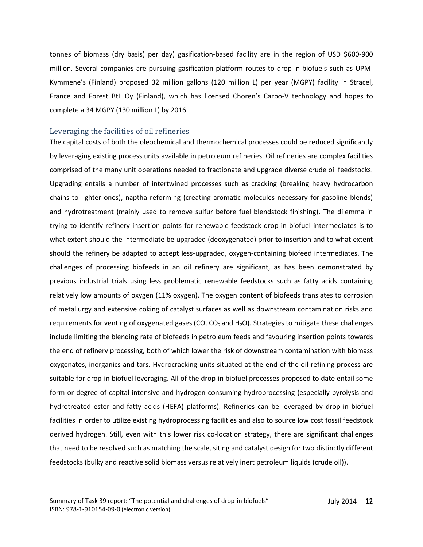tonnes of biomass (dry basis) per day) gasification-based facility are in the region of USD \$600-900 million. Several companies are pursuing gasification platform routes to drop-in biofuels such as UPM-Kymmene's (Finland) proposed 32 million gallons (120 million L) per year (MGPY) facility in Stracel, France and Forest BtL Oy (Finland), which has licensed Choren's Carbo-V technology and hopes to complete a 34 MGPY (130 million L) by 2016.

# <span id="page-12-0"></span>Leveraging the facilities of oil refineries

The capital costs of both the oleochemical and thermochemical processes could be reduced significantly by leveraging existing process units available in petroleum refineries. Oil refineries are complex facilities comprised of the many unit operations needed to fractionate and upgrade diverse crude oil feedstocks. Upgrading entails a number of intertwined processes such as cracking (breaking heavy hydrocarbon chains to lighter ones), naptha reforming (creating aromatic molecules necessary for gasoline blends) and hydrotreatment (mainly used to remove sulfur before fuel blendstock finishing). The dilemma in trying to identify refinery insertion points for renewable feedstock drop-in biofuel intermediates is to what extent should the intermediate be upgraded (deoxygenated) prior to insertion and to what extent should the refinery be adapted to accept less-upgraded, oxygen-containing biofeed intermediates. The challenges of processing biofeeds in an oil refinery are significant, as has been demonstrated by previous industrial trials using less problematic renewable feedstocks such as fatty acids containing relatively low amounts of oxygen (11% oxygen). The oxygen content of biofeeds translates to corrosion of metallurgy and extensive coking of catalyst surfaces as well as downstream contamination risks and requirements for venting of oxygenated gases (CO,  $CO<sub>2</sub>$  and H<sub>2</sub>O). Strategies to mitigate these challenges include limiting the blending rate of biofeeds in petroleum feeds and favouring insertion points towards the end of refinery processing, both of which lower the risk of downstream contamination with biomass oxygenates, inorganics and tars. Hydrocracking units situated at the end of the oil refining process are suitable for drop-in biofuel leveraging. All of the drop-in biofuel processes proposed to date entail some form or degree of capital intensive and hydrogen-consuming hydroprocessing (especially pyrolysis and hydrotreated ester and fatty acids (HEFA) platforms). Refineries can be leveraged by drop-in biofuel facilities in order to utilize existing hydroprocessing facilities and also to source low cost fossil feedstock derived hydrogen. Still, even with this lower risk co-location strategy, there are significant challenges that need to be resolved such as matching the scale, siting and catalyst design for two distinctly different feedstocks (bulky and reactive solid biomass versus relatively inert petroleum liquids (crude oil)).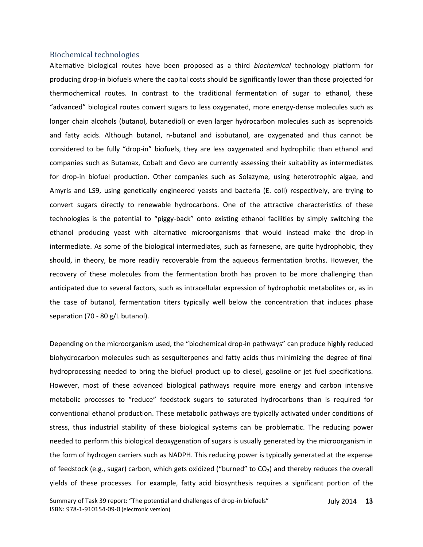#### <span id="page-13-0"></span>Biochemical technologies

Alternative biological routes have been proposed as a third *biochemical* technology platform for producing drop-in biofuels where the capital costs should be significantly lower than those projected for thermochemical routes. In contrast to the traditional fermentation of sugar to ethanol, these "advanced" biological routes convert sugars to less oxygenated, more energy-dense molecules such as longer chain alcohols (butanol, butanediol) or even larger hydrocarbon molecules such as isoprenoids and fatty acids. Although butanol, n-butanol and isobutanol, are oxygenated and thus cannot be considered to be fully "drop-in" biofuels, they are less oxygenated and hydrophilic than ethanol and companies such as Butamax, Cobalt and Gevo are currently assessing their suitability as intermediates for drop-in biofuel production. Other companies such as Solazyme, using heterotrophic algae, and Amyris and LS9, using genetically engineered yeasts and bacteria (E. coli) respectively, are trying to convert sugars directly to renewable hydrocarbons. One of the attractive characteristics of these technologies is the potential to "piggy-back" onto existing ethanol facilities by simply switching the ethanol producing yeast with alternative microorganisms that would instead make the drop-in intermediate. As some of the biological intermediates, such as farnesene, are quite hydrophobic, they should, in theory, be more readily recoverable from the aqueous fermentation broths. However, the recovery of these molecules from the fermentation broth has proven to be more challenging than anticipated due to several factors, such as intracellular expression of hydrophobic metabolites or, as in the case of butanol, fermentation titers typically well below the concentration that induces phase separation (70 - 80 g/L butanol).

Depending on the microorganism used, the "biochemical drop-in pathways" can produce highly reduced biohydrocarbon molecules such as sesquiterpenes and fatty acids thus minimizing the degree of final hydroprocessing needed to bring the biofuel product up to diesel, gasoline or jet fuel specifications. However, most of these advanced biological pathways require more energy and carbon intensive metabolic processes to "reduce" feedstock sugars to saturated hydrocarbons than is required for conventional ethanol production. These metabolic pathways are typically activated under conditions of stress, thus industrial stability of these biological systems can be problematic. The reducing power needed to perform this biological deoxygenation of sugars is usually generated by the microorganism in the form of hydrogen carriers such as NADPH. This reducing power is typically generated at the expense of feedstock (e.g., sugar) carbon, which gets oxidized ("burned" to  $CO<sub>2</sub>$ ) and thereby reduces the overall yields of these processes. For example, fatty acid biosynthesis requires a significant portion of the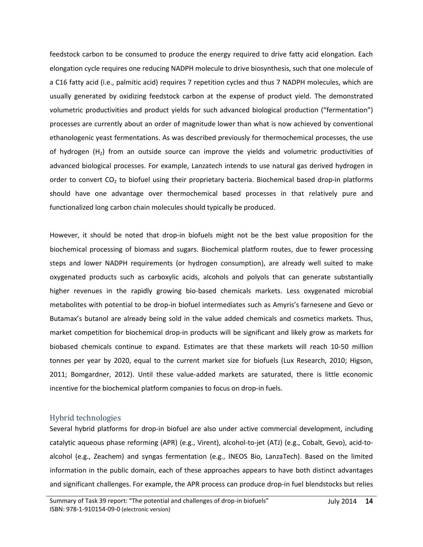feedstock carbon to be consumed to produce the energy required to drive fatty acid elongation. Each elongation cycle requires one reducing NADPH molecule to drive biosynthesis, such that one molecule of a C16 fatty acid (i.e., palmitic acid) requires 7 repetition cycles and thus 7 NADPH molecules, which are usually generated by oxidizing feedstock carbon at the expense of product yield. The demonstrated volumetric productivities and product yields for such advanced biological production ("fermentation") processes are currently about an order of magnitude lower than what is now achieved by conventional ethanologenic yeast fermentations. As was described previously for thermochemical processes, the use of hydrogen  $(H<sub>2</sub>)$  from an outside source can improve the yields and volumetric productivities of advanced biological processes. For example, Lanzatech intends to use natural gas derived hydrogen in order to convert  $CO<sub>2</sub>$  to biofuel using their proprietary bacteria. Biochemical based drop-in platforms should have one advantage over thermochemical based processes in that relatively pure and functionalized long carbon chain molecules should typically be produced.

However, it should be noted that drop-in biofuels might not be the best value proposition for the biochemical processing of biomass and sugars. Biochemical platform routes, due to fewer processing steps and lower NADPH requirements (or hydrogen consumption), are already well suited to make oxygenated products such as carboxylic acids, alcohols and polyols that can generate substantially higher revenues in the rapidly growing bio-based chemicals markets. Less oxygenated microbial metabolites with potential to be drop-in biofuel intermediates such as Amyris's farnesene and Gevo or Butamax's butanol are already being sold in the value added chemicals and cosmetics markets. Thus, market competition for biochemical drop-in products will be significant and likely grow as markets for biobased chemicals continue to expand. Estimates are that these markets will reach 10-50 million tonnes per year by 2020, equal to the current market size for biofuels (Lux Research, 2010; Higson, 2011; Bomgardner, 2012). Until these value-added markets are saturated, there is little economic incentive for the biochemical platform companies to focus on drop-in fuels.

# <span id="page-14-0"></span>Hybrid technologies

Several hybrid platforms for drop-in biofuel are also under active commercial development, including catalytic aqueous phase reforming (APR) (e.g., Virent), alcohol-to-jet (ATJ) (e.g., Cobalt, Gevo), acid-toalcohol (e.g., Zeachem) and syngas fermentation (e.g., INEOS Bio, LanzaTech). Based on the limited information in the public domain, each of these approaches appears to have both distinct advantages and significant challenges. For example, the APR process can produce drop-in fuel blendstocks but relies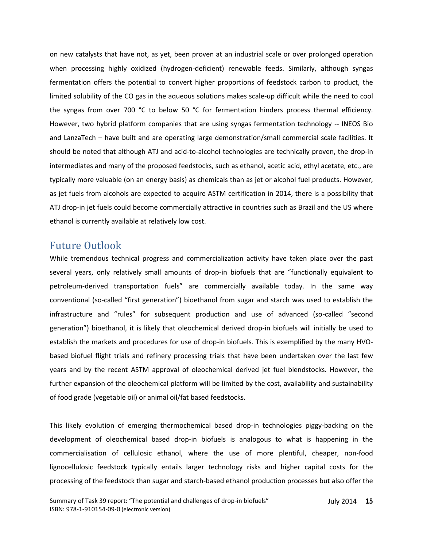on new catalysts that have not, as yet, been proven at an industrial scale or over prolonged operation when processing highly oxidized (hydrogen-deficient) renewable feeds. Similarly, although syngas fermentation offers the potential to convert higher proportions of feedstock carbon to product, the limited solubility of the CO gas in the aqueous solutions makes scale-up difficult while the need to cool the syngas from over 700 °C to below 50 °C for fermentation hinders process thermal efficiency. However, two hybrid platform companies that are using syngas fermentation technology -- INEOS Bio and LanzaTech – have built and are operating large demonstration/small commercial scale facilities. It should be noted that although ATJ and acid-to-alcohol technologies are technically proven, the drop-in intermediates and many of the proposed feedstocks, such as ethanol, acetic acid, ethyl acetate, etc., are typically more valuable (on an energy basis) as chemicals than as jet or alcohol fuel products. However, as jet fuels from alcohols are expected to acquire ASTM certification in 2014, there is a possibility that ATJ drop-in jet fuels could become commercially attractive in countries such as Brazil and the US where ethanol is currently available at relatively low cost.

# <span id="page-15-0"></span>Future Outlook

While tremendous technical progress and commercialization activity have taken place over the past several years, only relatively small amounts of drop-in biofuels that are "functionally equivalent to petroleum-derived transportation fuels" are commercially available today. In the same way conventional (so-called "first generation") bioethanol from sugar and starch was used to establish the infrastructure and "rules" for subsequent production and use of advanced (so-called "second generation") bioethanol, it is likely that oleochemical derived drop-in biofuels will initially be used to establish the markets and procedures for use of drop-in biofuels. This is exemplified by the many HVObased biofuel flight trials and refinery processing trials that have been undertaken over the last few years and by the recent ASTM approval of oleochemical derived jet fuel blendstocks. However, the further expansion of the oleochemical platform will be limited by the cost, availability and sustainability of food grade (vegetable oil) or animal oil/fat based feedstocks.

This likely evolution of emerging thermochemical based drop-in technologies piggy-backing on the development of oleochemical based drop-in biofuels is analogous to what is happening in the commercialisation of cellulosic ethanol, where the use of more plentiful, cheaper, non-food lignocellulosic feedstock typically entails larger technology risks and higher capital costs for the processing of the feedstock than sugar and starch-based ethanol production processes but also offer the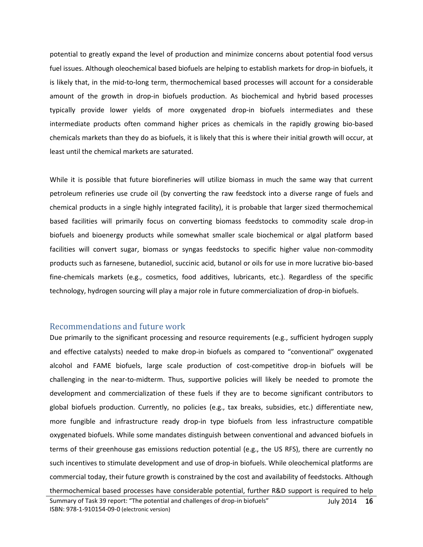potential to greatly expand the level of production and minimize concerns about potential food versus fuel issues. Although oleochemical based biofuels are helping to establish markets for drop-in biofuels, it is likely that, in the mid-to-long term, thermochemical based processes will account for a considerable amount of the growth in drop-in biofuels production. As biochemical and hybrid based processes typically provide lower yields of more oxygenated drop-in biofuels intermediates and these intermediate products often command higher prices as chemicals in the rapidly growing bio-based chemicals markets than they do as biofuels, it is likely that this is where their initial growth will occur, at least until the chemical markets are saturated.

While it is possible that future biorefineries will utilize biomass in much the same way that current petroleum refineries use crude oil (by converting the raw feedstock into a diverse range of fuels and chemical products in a single highly integrated facility), it is probable that larger sized thermochemical based facilities will primarily focus on converting biomass feedstocks to commodity scale drop-in biofuels and bioenergy products while somewhat smaller scale biochemical or algal platform based facilities will convert sugar, biomass or syngas feedstocks to specific higher value non-commodity products such as farnesene, butanediol, succinic acid, butanol or oils for use in more lucrative bio-based fine-chemicals markets (e.g., cosmetics, food additives, lubricants, etc.). Regardless of the specific technology, hydrogen sourcing will play a major role in future commercialization of drop-in biofuels.

# <span id="page-16-0"></span>Recommendations and future work

Due primarily to the significant processing and resource requirements (e.g., sufficient hydrogen supply and effective catalysts) needed to make drop-in biofuels as compared to "conventional" oxygenated alcohol and FAME biofuels, large scale production of cost-competitive drop-in biofuels will be challenging in the near-to-midterm. Thus, supportive policies will likely be needed to promote the development and commercialization of these fuels if they are to become significant contributors to global biofuels production. Currently, no policies (e.g., tax breaks, subsidies, etc.) differentiate new, more fungible and infrastructure ready drop-in type biofuels from less infrastructure compatible oxygenated biofuels. While some mandates distinguish between conventional and advanced biofuels in terms of their greenhouse gas emissions reduction potential (e.g., the US RFS), there are currently no such incentives to stimulate development and use of drop-in biofuels. While oleochemical platforms are commercial today, their future growth is constrained by the cost and availability of feedstocks. Although thermochemical based processes have considerable potential, further R&D support is required to help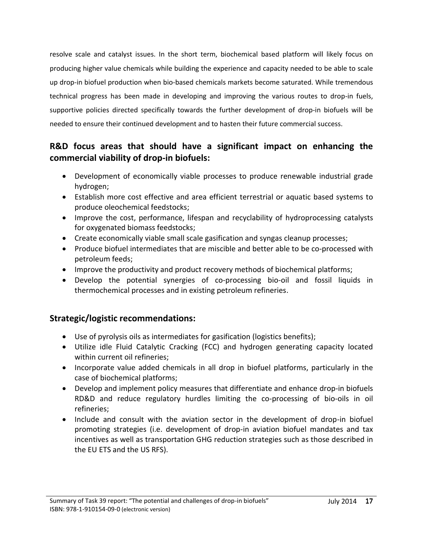resolve scale and catalyst issues. In the short term, biochemical based platform will likely focus on producing higher value chemicals while building the experience and capacity needed to be able to scale up drop-in biofuel production when bio-based chemicals markets become saturated. While tremendous technical progress has been made in developing and improving the various routes to drop-in fuels, supportive policies directed specifically towards the further development of drop-in biofuels will be needed to ensure their continued development and to hasten their future commercial success.

# **R&D focus areas that should have a significant impact on enhancing the commercial viability of drop-in biofuels:**

- Development of economically viable processes to produce renewable industrial grade hydrogen;
- Establish more cost effective and area efficient terrestrial or aquatic based systems to produce oleochemical feedstocks;
- Improve the cost, performance, lifespan and recyclability of hydroprocessing catalysts for oxygenated biomass feedstocks;
- Create economically viable small scale gasification and syngas cleanup processes;
- Produce biofuel intermediates that are miscible and better able to be co-processed with petroleum feeds;
- Improve the productivity and product recovery methods of biochemical platforms;
- Develop the potential synergies of co-processing bio-oil and fossil liquids in thermochemical processes and in existing petroleum refineries.

# **Strategic/logistic recommendations:**

- Use of pyrolysis oils as intermediates for gasification (logistics benefits);
- Utilize idle Fluid Catalytic Cracking (FCC) and hydrogen generating capacity located within current oil refineries;
- Incorporate value added chemicals in all drop in biofuel platforms, particularly in the case of biochemical platforms;
- Develop and implement policy measures that differentiate and enhance drop-in biofuels RD&D and reduce regulatory hurdles limiting the co-processing of bio-oils in oil refineries;
- Include and consult with the aviation sector in the development of drop-in biofuel promoting strategies (i.e. development of drop-in aviation biofuel mandates and tax incentives as well as transportation GHG reduction strategies such as those described in the EU ETS and the US RFS).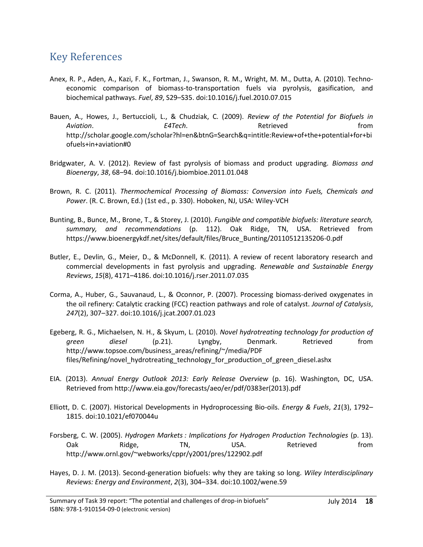# <span id="page-18-0"></span>Key References

- Anex, R. P., Aden, A., Kazi, F. K., Fortman, J., Swanson, R. M., Wright, M. M., Dutta, A. (2010). Technoeconomic comparison of biomass-to-transportation fuels via pyrolysis, gasification, and biochemical pathways. *Fuel*, *89*, S29–S35. doi:10.1016/j.fuel.2010.07.015
- Bauen, A., Howes, J., Bertuccioli, L., & Chudziak, C. (2009). *Review of the Potential for Biofuels in Aviation*. *E4Tech*. Retrieved from http://scholar.google.com/scholar?hl=en&btnG=Search&q=intitle:Review+of+the+potential+for+bi ofuels+in+aviation#0
- Bridgwater, A. V. (2012). Review of fast pyrolysis of biomass and product upgrading. *Biomass and Bioenergy*, *38*, 68–94. doi:10.1016/j.biombioe.2011.01.048
- Brown, R. C. (2011). *Thermochemical Processing of Biomass: Conversion into Fuels, Chemicals and Power*. (R. C. Brown, Ed.) (1st ed., p. 330). Hoboken, NJ, USA: Wiley-VCH
- Bunting, B., Bunce, M., Brone, T., & Storey, J. (2010). *Fungible and compatible biofuels: literature search, summary, and recommendations* (p. 112). Oak Ridge, TN, USA. Retrieved from https://www.bioenergykdf.net/sites/default/files/Bruce\_Bunting/20110512135206-0.pdf
- Butler, E., Devlin, G., Meier, D., & McDonnell, K. (2011). A review of recent laboratory research and commercial developments in fast pyrolysis and upgrading. *Renewable and Sustainable Energy Reviews*, *15*(8), 4171–4186. doi:10.1016/j.rser.2011.07.035
- Corma, A., Huber, G., Sauvanaud, L., & Oconnor, P. (2007). Processing biomass-derived oxygenates in the oil refinery: Catalytic cracking (FCC) reaction pathways and role of catalyst. *Journal of Catalysis*, *247*(2), 307–327. doi:10.1016/j.jcat.2007.01.023
- Egeberg, R. G., Michaelsen, N. H., & Skyum, L. (2010). *Novel hydrotreating technology for production of green diesel* (p.21). Lyngby, Denmark. Retrieved from http://www.topsoe.com/business\_areas/refining/~/media/PDF files/Refining/novel\_hydrotreating\_technology\_for\_production\_of\_green\_diesel.ashx
- EIA. (2013). *Annual Energy Outlook 2013: Early Release Overview* (p. 16). Washington, DC, USA. Retrieved from http://www.eia.gov/forecasts/aeo/er/pdf/0383er(2013).pdf
- Elliott, D. C. (2007). Historical Developments in Hydroprocessing Bio-oils. *Energy & Fuels*, *21*(3), 1792– 1815. doi:10.1021/ef070044u
- Forsberg, C. W. (2005). *Hydrogen Markets : Implications for Hydrogen Production Technologies* (p. 13). Oak Ridge, TN, USA. Retrieved from http://www.ornl.gov/~webworks/cppr/y2001/pres/122902.pdf
- Hayes, D. J. M. (2013). Second-generation biofuels: why they are taking so long. *Wiley Interdisciplinary Reviews: Energy and Environment*, *2*(3), 304–334. doi:10.1002/wene.59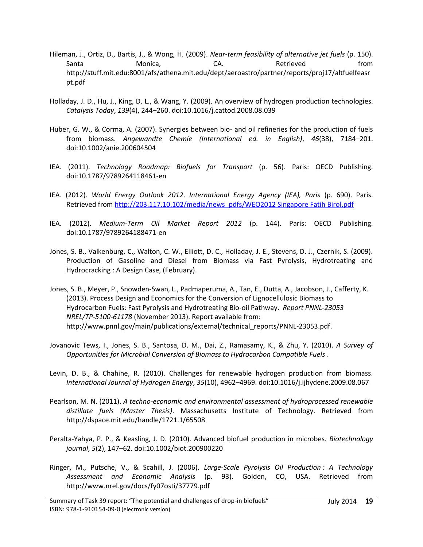- Hileman, J., Ortiz, D., Bartis, J., & Wong, H. (2009). *Near-term feasibility of alternative jet fuels* (p. 150). Santa Monica, CA. Retrieved from http://stuff.mit.edu:8001/afs/athena.mit.edu/dept/aeroastro/partner/reports/proj17/altfuelfeasr pt.pdf
- Holladay, J. D., Hu, J., King, D. L., & Wang, Y. (2009). An overview of hydrogen production technologies. *Catalysis Today*, *139*(4), 244–260. doi:10.1016/j.cattod.2008.08.039
- Huber, G. W., & Corma, A. (2007). Synergies between bio- and oil refineries for the production of fuels from biomass. *Angewandte Chemie (International ed. in English)*, *46*(38), 7184–201. doi:10.1002/anie.200604504
- IEA. (2011). *Technology Roadmap: Biofuels for Transport* (p. 56). Paris: OECD Publishing. doi:10.1787/9789264118461-en
- IEA. (2012). *World Energy Outlook 2012*. *International Energy Agency (IEA), Paris* (p. 690). Paris. Retrieved from [http://203.117.10.102/media/news\\_pdfs/WEO2012 Singapore Fatih Birol.pdf](http://203.117.10.102/media/news_pdfs/WEO2012%20Singapore%20Fatih%20Birol.pdf)
- IEA. (2012). *Medium-Term Oil Market Report 2012* (p. 144). Paris: OECD Publishing. doi:10.1787/9789264188471-en
- Jones, S. B., Valkenburg, C., Walton, C. W., Elliott, D. C., Holladay, J. E., Stevens, D. J., Czernik, S. (2009). Production of Gasoline and Diesel from Biomass via Fast Pyrolysis, Hydrotreating and Hydrocracking : A Design Case, (February).
- Jones, S. B., Meyer, P., Snowden-Swan, L., Padmaperuma, A., Tan, E., Dutta, A., Jacobson, J., Cafferty, K. (2013). Process Design and Economics for the Conversion of Lignocellulosic Biomass to Hydrocarbon Fuels: Fast Pyrolysis and Hydrotreating Bio-oil Pathway. *Report PNNL-23053 NREL/TP-5100-61178* (November 2013). Report available from: http://www.pnnl.gov/main/publications/external/technical\_reports/PNNL-23053.pdf.
- Jovanovic Tews, I., Jones, S. B., Santosa, D. M., Dai, Z., Ramasamy, K., & Zhu, Y. (2010). *A Survey of Opportunities for Microbial Conversion of Biomass to Hydrocarbon Compatible Fuels* .
- Levin, D. B., & Chahine, R. (2010). Challenges for renewable hydrogen production from biomass. *International Journal of Hydrogen Energy*, *35*(10), 4962–4969. doi:10.1016/j.ijhydene.2009.08.067
- Pearlson, M. N. (2011). *A techno-economic and environmental assessment of hydroprocessed renewable distillate fuels (Master Thesis)*. Massachusetts Institute of Technology. Retrieved from http://dspace.mit.edu/handle/1721.1/65508
- Peralta-Yahya, P. P., & Keasling, J. D. (2010). Advanced biofuel production in microbes. *Biotechnology journal*, *5*(2), 147–62. doi:10.1002/biot.200900220
- Ringer, M., Putsche, V., & Scahill, J. (2006). *Large-Scale Pyrolysis Oil Production : A Technology Assessment and Economic Analysis* (p. 93). Golden, CO, USA. Retrieved from http://www.nrel.gov/docs/fy07osti/37779.pdf